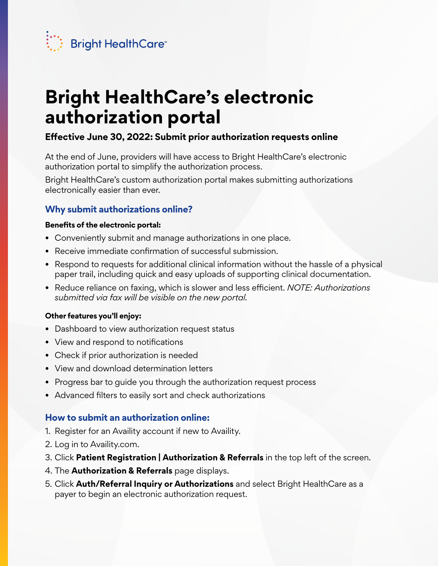

# **Bright HealthCare's electronic authorization portal**

# **Effective June 30, 2022: Submit prior authorization requests online**

At the end of June, providers will have access to Bright HealthCare's electronic authorization portal to simplify the authorization process.

Bright HealthCare's custom authorization portal makes submitting authorizations electronically easier than ever.

## **Why submit authorizations online?**

#### **Benefits of the electronic portal:**

- Conveniently submit and manage authorizations in one place.
- Receive immediate confirmation of successful submission.
- Respond to requests for additional clinical information without the hassle of a physical paper trail, including quick and easy uploads of supporting clinical documentation.
- Reduce reliance on faxing, which is slower and less efficient. *NOTE: Authorizations submitted via fax will be visible on the new portal.*

#### **Other features you'll enjoy:**

- Dashboard to view authorization request status
- View and respond to notifications
- Check if prior authorization is needed
- View and download determination letters
- Progress bar to guide you through the authorization request process
- Advanced filters to easily sort and check authorizations

### **How to submit an authorization online:**

- 1. Register for an Availity account if new to Availity.
- 2. Log in to Availity.com.
- 3. Click **Patient Registration | Authorization & Referrals** in the top left of the screen.
- 4. The **Authorization & Referrals** page displays.
- 5. Click **Auth/Referral Inquiry or Authorizations** and select Bright HealthCare as a payer to begin an electronic authorization request.